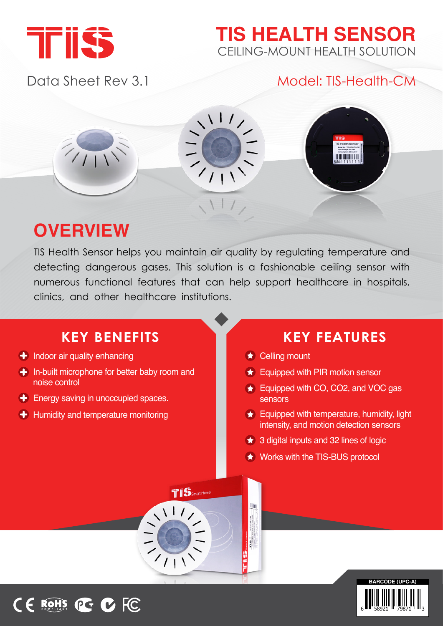

## **TIS HEALTH SENSOR** CEILING-MOUNT HEALTH SOLUTION

## Data Sheet Rev 3.1 Model: TIS-Health-CM



## **OVERVIEW**

TIS Health Sensor helps you maintain air quality by regulating temperature and detecting dangerous gases. This solution is a fashionable ceiling sensor with numerous functional features that can help support healthcare in hospitals, clinics, and other healthcare institutions.

## **KEY BENEFITS**

- $\bigoplus$  Indoor air quality enhancing
- $\bigoplus$  In-built microphone for better baby room and noise control
- $\bigstar$  Energy saving in unoccupied spaces.
- $\bigoplus$  Humidity and temperature monitoring

## **KEY FEATURES**

 $\star$  Celling mount

H

B

- $\star$  Equipped with PIR motion sensor
- $\bigstar$  Equipped with CO, CO2, and VOC gas sensors
- $\bigstar$  Equipped with temperature, humidity, light intensity, and motion detection sensors
- $\star$  3 digital inputs and 32 lines of logic
- $\star$  Works with the TIS-BUS protocol





 $\sqrt{11}$ 

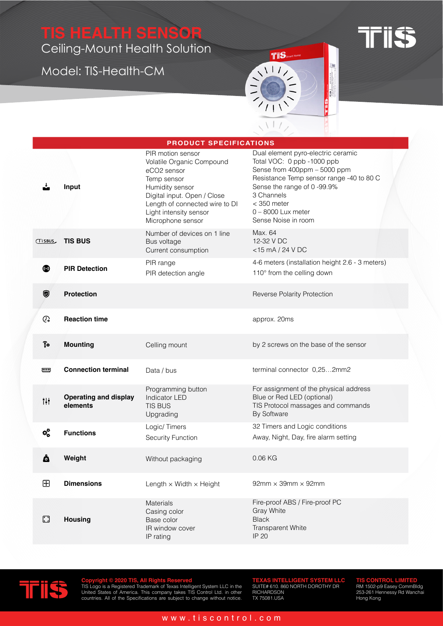# **TIS HEALTH SENSOR**

Ceiling-Mount Health Solution

Model: TIS-Health-CM



**TFIISS** 

|                           | <b>PRODUCT SPECIFICATIONS</b>            |                                                                                                                                                                                                                 |                                                                                                                                                                                                                                                           |  |  |  |  |  |
|---------------------------|------------------------------------------|-----------------------------------------------------------------------------------------------------------------------------------------------------------------------------------------------------------------|-----------------------------------------------------------------------------------------------------------------------------------------------------------------------------------------------------------------------------------------------------------|--|--|--|--|--|
|                           | Input                                    | PIR motion sensor<br>Volatile Organic Compound<br>eCO2 sensor<br>Temp sensor<br>Humidity sensor<br>Digital input. Open / Close<br>Length of connected wire to DI<br>Light intensity sensor<br>Microphone sensor | Dual element pyro-electric ceramic<br>Total VOC: 0 ppb -1000 ppb<br>Sense from 400ppm - 5000 ppm<br>Resistance Temp sensor range -40 to 80 C<br>Sense the range of 0 -99.9%<br>3 Channels<br>$<$ 350 meter<br>$0 - 8000$ Lux meter<br>Sense Noise in room |  |  |  |  |  |
| (TISBUS)                  | <b>TIS BUS</b>                           | Number of devices on 1 line<br>Bus voltage<br>Current consumption                                                                                                                                               | Max. 64<br>12-32 V DC<br>$<$ 15 mA / 24 V DC                                                                                                                                                                                                              |  |  |  |  |  |
| ◙                         | <b>PIR Detection</b>                     | PIR range<br>PIR detection angle                                                                                                                                                                                | 4-6 meters (installation height 2.6 - 3 meters)<br>110° from the celling down                                                                                                                                                                             |  |  |  |  |  |
| Ø                         | <b>Protection</b>                        |                                                                                                                                                                                                                 | <b>Reverse Polarity Protection</b>                                                                                                                                                                                                                        |  |  |  |  |  |
| ଊ                         | <b>Reaction time</b>                     |                                                                                                                                                                                                                 | approx. 20ms                                                                                                                                                                                                                                              |  |  |  |  |  |
| $\overline{\mathbf{S}}$ o | <b>Mounting</b>                          | Celling mount                                                                                                                                                                                                   | by 2 screws on the base of the sensor                                                                                                                                                                                                                     |  |  |  |  |  |
| ख्ख                       | <b>Connection terminal</b>               | Data / bus                                                                                                                                                                                                      | terminal connector 0,252mm2                                                                                                                                                                                                                               |  |  |  |  |  |
| ili.                      | <b>Operating and display</b><br>elements | Programming button<br><b>Indicator LED</b><br><b>TIS BUS</b><br>Upgrading                                                                                                                                       | For assignment of the physical address<br>Blue or Red LED (optional)<br>TIS Protocol massages and commands<br>By Software                                                                                                                                 |  |  |  |  |  |
| $\alpha_{\rm o}^{\rm o}$  | <b>Functions</b>                         | Logic/Timers<br>Security Function                                                                                                                                                                               | 32 Timers and Logic conditions<br>Away, Night, Day, fire alarm setting                                                                                                                                                                                    |  |  |  |  |  |
| Ö                         | Weight                                   | Without packaging                                                                                                                                                                                               | $0.06$ KG                                                                                                                                                                                                                                                 |  |  |  |  |  |
| $\boxplus$                | <b>Dimensions</b>                        | Length $\times$ Width $\times$ Height                                                                                                                                                                           | $92$ mm $\times$ 39mm $\times$ 92mm                                                                                                                                                                                                                       |  |  |  |  |  |
| M                         | <b>Housing</b>                           | Materials<br>Casing color<br>Base color<br>IR window cover<br>IP rating                                                                                                                                         | Fire-proof ABS / Fire-proof PC<br>Gray White<br><b>Black</b><br>Transparent White<br>IP 20                                                                                                                                                                |  |  |  |  |  |



Copyright © 2020 TIS, All Rights Reserved<br>TIS Logo is a Registered Trademark of Texas Intelligent System LLC in the<br>United States of America. This company takes TIS Control Ltd. in other<br>countries. All of the Specification

**TEXAS INTELLIGENT SYSTEM LLC<br>SUITE# 610. 860 NORTH DOROTHY DR<br>RICHARDSON<br>TX 75081.USA** 

**TIS CONTROL LIMITED**<br>RM 1502-p9 Easey CommBldg<br>253-261 Hennessy Rd Wanchai<br>Hong Kong

#### www.tiscontrol.com